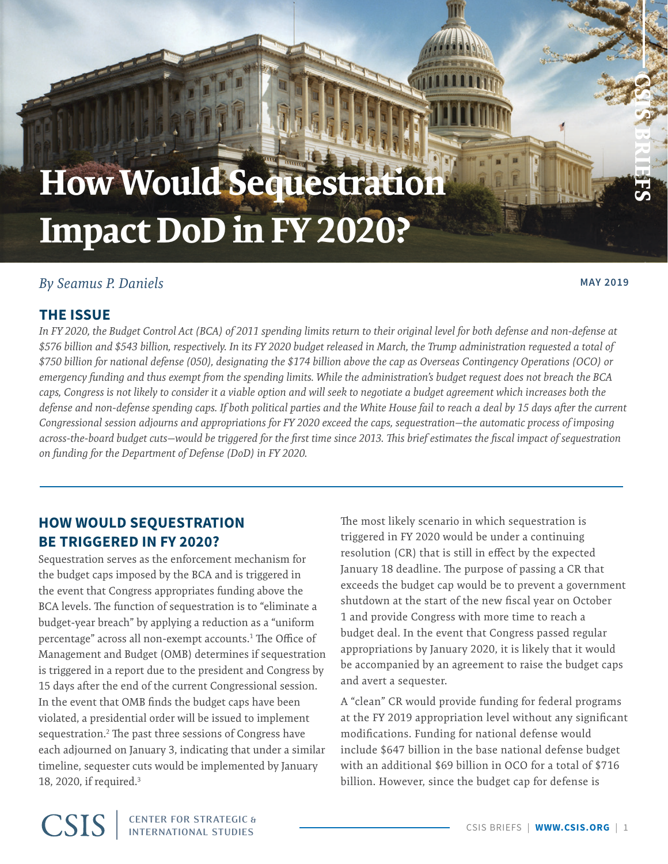# <span id="page-0-0"></span>**How Would Sequestration Impact DoD in FY 2020?**

# *By Seamus P. Daniels* **MAY 2019**

**CSIS BRIEFS**

## **THE ISSUE**

*In FY 2020, the Budget Control Act (BCA) of 2011 spending limits return to their original level for both defense and non-defense at \$576 billion and \$543 billion, respectively. In its FY 2020 budget released in March, the Trump administration requested a total of \$750 billion for national defense (050), designating the \$174 billion above the cap as Overseas Contingency Operations (OCO) or emergency funding and thus exempt from the spending limits. While the administration's budget request does not breach the BCA caps, Congress is not likely to consider it a viable option and will seek to negotiate a budget agreement which increases both the defense and non-defense spending caps. If both political parties and the White House fail to reach a deal by 15 days after the current Congressional session adjourns and appropriations for FY 2020 exceed the caps, sequestration—the automatic process of imposing across-the-board budget cuts—would be triggered for the first time since 2013. This brief estimates the fiscal impact of sequestration on funding for the Department of Defense (DoD) in FY 2020.*

program

# **HOW WOULD SEQUESTRATION BE TRIGGERED IN FY 2020?**

Sequestration serves as the enforcement mechanism for the budget caps imposed by the BCA and is triggered in the event that Congress appropriates funding above the BCA levels. The function of sequestration is to "eliminate a budget-year breach" by applying a reduction as a "uniform percentage" across all non-exempt accounts.[1](#page-5-0) The Office of Management and Budget (OMB) determines if sequestration is triggered in a report due to the president and Congress by 15 days after the end of the current Congressional session. In the event that OMB finds the budget caps have been violated, a presidential order will be issued to implement sequestration[.2](#page-5-0) The past three sessions of Congress have each adjourned on January 3, indicating that under a similar timeline, sequester cuts would be implemented by January 18, 2020, if required[.3](#page-5-0)

The most likely scenario in which sequestration is triggered in FY 2020 would be under a continuing resolution (CR) that is still in effect by the expected January 18 deadline. The purpose of passing a CR that exceeds the budget cap would be to prevent a government shutdown at the start of the new fiscal year on October 1 and provide Congress with more time to reach a budget deal. In the event that Congress passed regular appropriations by January 2020, it is likely that it would be accompanied by an agreement to raise the budget caps and avert a sequester.

A "clean" CR would provide funding for federal programs at the FY 2019 appropriation level without any significant modifications. Funding for national defense would include \$647 billion in the base national defense budget with an additional \$69 billion in OCO for a total of \$716 billion. However, since the budget cap for defense is

**CSIS CENTER FOR STRATEGIC & INTERNATIONAL STUDIES**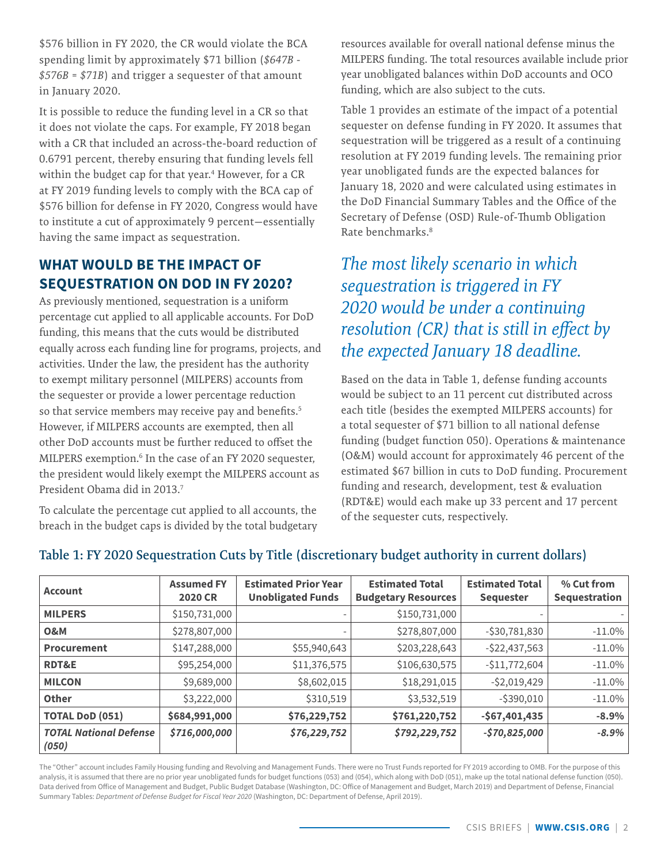<span id="page-1-0"></span>\$576 billion in FY 2020, the CR would violate the BCA spending limit by approximately \$71 billion (*\$647B - \$576B = \$71B*) and trigger a sequester of that amount in January 2020.

It is possible to reduce the funding level in a CR so that it does not violate the caps. For example, FY 2018 began with a CR that included an across-the-board reduction of 0.6791 percent, thereby ensuring that funding levels fell within the budget cap for that year.<sup>[4](#page-5-0)</sup> However, for a CR at FY 2019 funding levels to comply with the BCA cap of \$576 billion for defense in FY 2020, Congress would have to institute a cut of approximately 9 percent—essentially having the same impact as sequestration.

# **WHAT WOULD BE THE IMPACT OF SEQUESTRATION ON DOD IN FY 2020?**

As previously mentioned, sequestration is a uniform percentage cut applied to all applicable accounts. For DoD funding, this means that the cuts would be distributed equally across each funding line for programs, projects, and activities. Under the law, the president has the authority to exempt military personnel (MILPERS) accounts from the sequester or provide a lower percentage reduction so that service members may receive pay and benefits.<sup>5</sup> However, if MILPERS accounts are exempted, then all other DoD accounts must be further reduced to offset the MILPERS exemption.[6](#page-5-0) In the case of an FY 2020 sequester, the president would likely exempt the MILPERS account as President Obama did in 2013[.7](#page-5-0)

To calculate the percentage cut applied to all accounts, the breach in the budget caps is divided by the total budgetary resources available for overall national defense minus the MILPERS funding. The total resources available include prior year unobligated balances within DoD accounts and OCO funding, which are also subject to the cuts.

Table 1 provides an estimate of the impact of a potential sequester on defense funding in FY 2020. It assumes that sequestration will be triggered as a result of a continuing resolution at FY 2019 funding levels. The remaining prior year unobligated funds are the expected balances for January 18, 2020 and were calculated using estimates in the DoD Financial Summary Tables and the Office of the Secretary of Defense (OSD) Rule-of-Thumb Obligation Rate benchmarks.[8](#page-5-0)

# *The most likely scenario in which sequestration is triggered in FY 2020 would be under a continuing resolution (CR) that is still in effect by the expected January 18 deadline.*

Based on the data in Table 1, defense funding accounts would be subject to an 11 percent cut distributed across each title (besides the exempted MILPERS accounts) for a total sequester of \$71 billion to all national defense funding (budget function 050). Operations & maintenance (O&M) would account for approximately 46 percent of the estimated \$67 billion in cuts to DoD funding. Procurement funding and research, development, test & evaluation (RDT&E) would each make up 33 percent and 17 percent of the sequester cuts, respectively.

| <b>Account</b>                         | <b>Assumed FY</b><br><b>2020 CR</b> | <b>Estimated Prior Year</b><br><b>Unobligated Funds</b> | <b>Estimated Total</b><br><b>Budgetary Resources</b> | <b>Estimated Total</b><br><b>Sequester</b> | % Cut from<br>Sequestration |
|----------------------------------------|-------------------------------------|---------------------------------------------------------|------------------------------------------------------|--------------------------------------------|-----------------------------|
| <b>MILPERS</b>                         | \$150,731,000                       |                                                         | \$150,731,000                                        |                                            |                             |
| <b>O&amp;M</b>                         | \$278,807,000                       |                                                         | \$278,807,000                                        | $-530,781,830$                             | $-11.0\%$                   |
| Procurement                            | \$147,288,000                       | \$55,940,643                                            | \$203,228,643                                        | $-$ \$22,437,563                           | $-11.0%$                    |
| <b>RDT&amp;E</b>                       | \$95,254,000                        | \$11,376,575                                            | \$106,630,575                                        | $-$11,772,604$                             | $-11.0%$                    |
| <b>MILCON</b>                          | \$9,689,000                         | \$8,602,015                                             | \$18,291,015                                         | $-52,019,429$                              | $-11.0%$                    |
| <b>Other</b>                           | \$3,222,000                         | \$310,519                                               | \$3,532,519                                          | $-$ \$390,010                              | $-11.0%$                    |
| <b>TOTAL DoD (051)</b>                 | \$684,991,000                       | \$76,229,752                                            | \$761,220,752                                        | $-$67,401,435$                             | $-8.9%$                     |
| <b>TOTAL National Defense</b><br>(050) | \$716,000,000                       | \$76,229,752                                            | \$792,229,752                                        | $-$70,825,000$                             | $-8.9%$                     |

# **Table 1: FY 2020 Sequestration Cuts by Title (discretionary budget authority in current dollars)**

The "Other" account includes Family Housing funding and Revolving and Management Funds. There were no Trust Funds reported for FY 2019 according to OMB. For the purpose of this analysis, it is assumed that there are no prior year unobligated funds for budget functions (053) and (054), which along with DoD (051), make up the total national defense function (050). Data derived from Office of Management and Budget, Public Budget Database (Washington, DC: Office of Management and Budget, March 2019) and Department of Defense, Financial Summary Tables: *Department of Defense Budget for Fiscal Year 2020* (Washington, DC: Department of Defense, April 2019).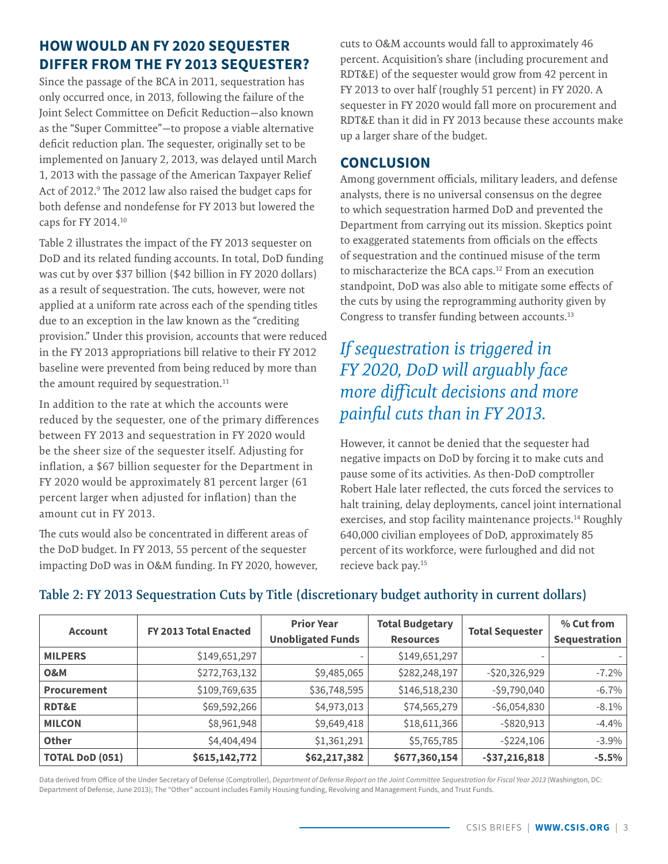# <span id="page-2-0"></span>**HOW WOULD AN FY 2020 SEQUESTER DIFFER FROM THE FY 2013 SEQUESTER?**

Since the passage of the BCA in 2011, sequestration has only occurred once, in 2013, following the failure of the Joint Select Committee on Deficit Reduction—also known as the "Super Committee"—to propose a viable alternative deficit reduction plan. The sequester, originally set to be implemented on January 2, 2013, was delayed until March 1, 2013 with the passage of the American Taxpayer Relief Act of 2012.<sup>[9](#page-5-0)</sup> The 2012 law also raised the budget caps for both defense and nondefense for FY 2013 but lowered the caps for FY 2014.[10](#page-5-0)

Table 2 illustrates the impact of the FY 2013 sequester on DoD and its related funding accounts. In total, DoD funding was cut by over \$37 billion (\$42 billion in FY 2020 dollars) as a result of sequestration. The cuts, however, were not applied at a uniform rate across each of the spending titles due to an exception in the law known as the "crediting provision." Under this provision, accounts that were reduced in the FY 2013 appropriations bill relative to their FY 2012 baseline were prevented from being reduced by more than the amount required by sequestration.<sup>[11](#page-5-0)</sup>

In addition to the rate at which the accounts were reduced by the sequester, one of the primary differences between FY 2013 and sequestration in FY 2020 would be the sheer size of the sequester itself. Adjusting for inflation, a \$67 billion sequester for the Department in FY 2020 would be approximately 81 percent larger (61 percent larger when adjusted for inflation) than the amount cut in FY 2013.

The cuts would also be concentrated in different areas of the DoD budget. In FY 2013, 55 percent of the sequester impacting DoD was in O&M funding. In FY 2020, however, cuts to O&M accounts would fall to approximately 46 percent. Acquisition's share (including procurement and RDT&E) of the sequester would grow from 42 percent in FY 2013 to over half (roughly 51 percent) in FY 2020. A sequester in FY 2020 would fall more on procurement and RDT&E than it did in FY 2013 because these accounts make up a larger share of the budget.

#### **CONCLUSION**

Among government officials, military leaders, and defense analysts, there is no universal consensus on the degree to which sequestration harmed DoD and prevented the Department from carrying out its mission. Skeptics point to exaggerated statements from officials on the effects of sequestration and the continued misuse of the term to mischaracterize the BCA caps[.12](#page-5-0) From an execution standpoint, DoD was also able to mitigate some effects of the cuts by using the reprogramming authority given by Congress to transfer funding between accounts[.13](#page-5-0)

# *If sequestration is triggered in FY 2020, DoD will arguably face more difficult decisions and more painful cuts than in FY 2013.*

However, it cannot be denied that the sequester had negative impacts on DoD by forcing it to make cuts and pause some of its activities. As then-DoD comptroller Robert Hale later reflected, the cuts forced the services to halt training, delay deployments, cancel joint international exercises, and stop facility maintenance projects.<sup>[14](#page-5-0)</sup> Roughly 640,000 civilian employees of DoD, approximately 85 percent of its workforce, were furloughed and did not recieve back pay[.15](#page-5-0) 

| <b>Account</b>         | FY 2013 Total Enacted | <b>Prior Year</b><br><b>Unobligated Funds</b> | <b>Total Budgetary</b><br><b>Resources</b> | <b>Total Sequester</b>   | % Cut from<br>Sequestration |
|------------------------|-----------------------|-----------------------------------------------|--------------------------------------------|--------------------------|-----------------------------|
| <b>MILPERS</b>         | \$149,651,297         |                                               | \$149,651,297                              | $\overline{\phantom{0}}$ |                             |
| <b>O&amp;M</b>         | \$272,763,132         | \$9,485,065                                   | \$282,248,197                              | $-$ \$20,326,929         | $-7.2\%$                    |
| <b>Procurement</b>     | \$109,769,635         | \$36,748,595                                  | \$146,518,230                              | $-$ \$9,790,040          | $-6.7\%$                    |
| <b>RDT&amp;E</b>       | \$69,592,266          | \$4,973,013                                   | \$74,565,279                               | $-$ \$6,054,830          | $-8.1\%$                    |
| <b>MILCON</b>          | \$8,961,948           | \$9,649,418                                   | \$18,611,366                               | $-$ \$820,913            | $-4.4%$                     |
| <b>Other</b>           | \$4,404,494           | \$1,361,291                                   | \$5,765,785                                | $-$ \$224,106            | $-3.9\%$                    |
| <b>TOTAL DoD (051)</b> | \$615,142,772         | \$62,217,382                                  | \$677,360,154                              | $-537,216,818$           | $-5.5%$                     |

# **Table 2: FY 2013 Sequestration Cuts by Title (discretionary budget authority in current dollars)**

Data derived from Office of the Under Secretary of Defense (Comptroller), *Department of Defense Report on the Joint Committee Sequestration for Fiscal Year 2013* (Washington, DC: Department of Defense, June 2013); The "Other" account includes Family Housing funding, Revolving and Management Funds, and Trust Funds.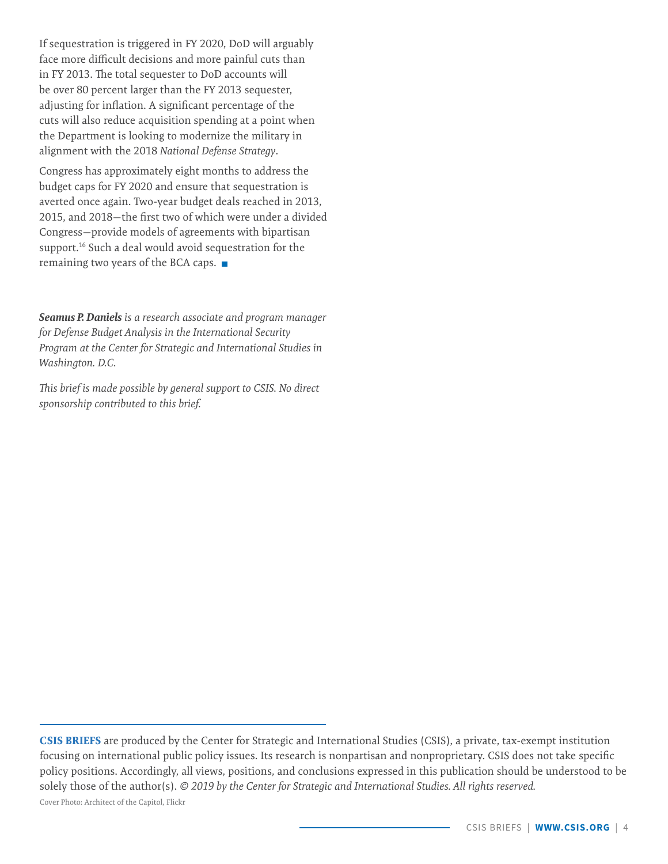<span id="page-3-0"></span>If sequestration is triggered in FY 2020, DoD will arguably face more difficult decisions and more painful cuts than in FY 2013. The total sequester to DoD accounts will be over 80 percent larger than the FY 2013 sequester, adjusting for inflation. A significant percentage of the cuts will also reduce acquisition spending at a point when the Department is looking to modernize the military in alignment with the 2018 *National Defense Strategy*.

Congress has approximately eight months to address the budget caps for FY 2020 and ensure that sequestration is averted once again. Two-year budget deals reached in 2013, 2015, and 2018—the first two of which were under a divided Congress—provide models of agreements with bipartisan support.<sup>16</sup> Such a deal would avoid sequestration for the remaining two years of the BCA caps.

*Seamus P. Daniels is a research associate and program manager for Defense Budget Analysis in the International Security Program at the Center for Strategic and International Studies in Washington. D.C.* 

*This brief is made possible by general support to CSIS. No direct sponsorship contributed to this brief.*

**CSIS BRIEFS** are produced by the Center for Strategic and International Studies (CSIS), a private, tax-exempt institution focusing on international public policy issues. Its research is nonpartisan and nonproprietary. CSIS does not take specific policy positions. Accordingly, all views, positions, and conclusions expressed in this publication should be understood to be solely those of the author(s). *© 2019 by the Center for Strategic and International Studies. All rights reserved.* Cover Photo: Architect of the Capitol, Flickr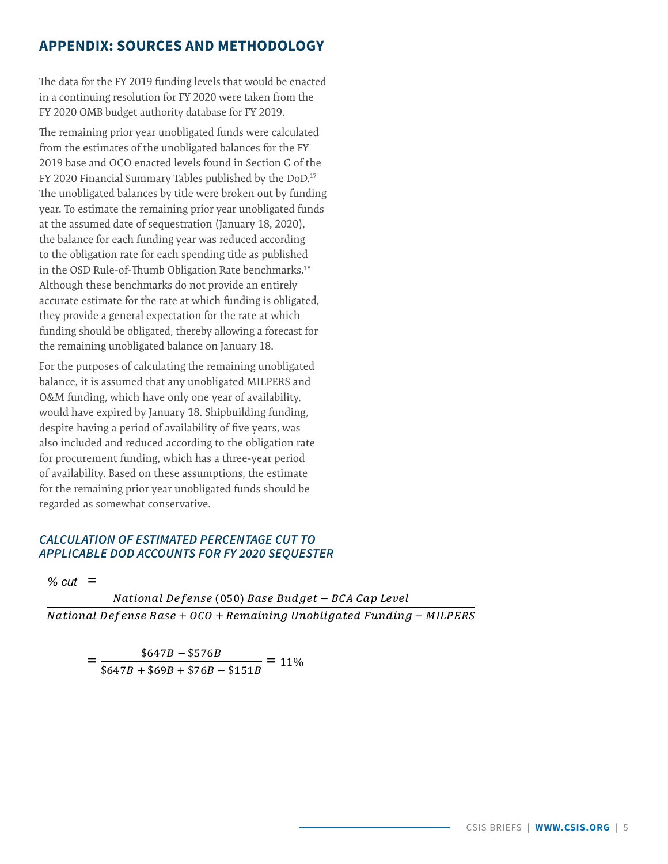## <span id="page-4-0"></span>**APPENDIX: SOURCES AND METHODOLOGY**

The data for the FY 2019 funding levels that would be enacted in a continuing resolution for FY 2020 were taken from the FY 2020 OMB budget authority database for FY 2019.

The remaining prior year unobligated funds were calculated from the estimates of the unobligated balances for the FY 2019 base and OCO enacted levels found in Section G of the FY 2020 Financial Summary Tables published by the DoD.<sup>17</sup> The unobligated balances by title were broken out by funding year. To estimate the remaining prior year unobligated funds at the assumed date of sequestration (January 18, 2020), the balance for each funding year was reduced according to the obligation rate for each spending title as published in the OSD Rule-of-Thumb Obligation Rate benchmarks.<sup>18</sup> Although these benchmarks do not provide an entirely accurate estimate for the rate at which funding is obligated, they provide a general expectation for the rate at which funding should be obligated, thereby allowing a forecast for the remaining unobligated balance on January 18.

For the purposes of calculating the remaining unobligated balance, it is assumed that any unobligated MILPERS and O&M funding, which have only one year of availability, would have expired by January 18. Shipbuilding funding, despite having a period of availability of five years, was also included and reduced according to the obligation rate for procurement funding, which has a three-year period of availability. Based on these assumptions, the estimate for the remaining prior year unobligated funds should be regarded as somewhat conservative.

#### **CALCULATION OF ESTIMATED PERCENTAGE CUT TO** APPLICABLE DOD ACCOUNTS FOR FY 2020 SEQUESTER

%  $cut =$ 

National Defense (050) Base Budget - BCA Cap Level National Defense Base +  $0CO$  + Remaining Unobligated Funding - MILPERS

 $=\frac{$647B - $576B}{$647B + $69B + $76B - $151B} = 11\%$